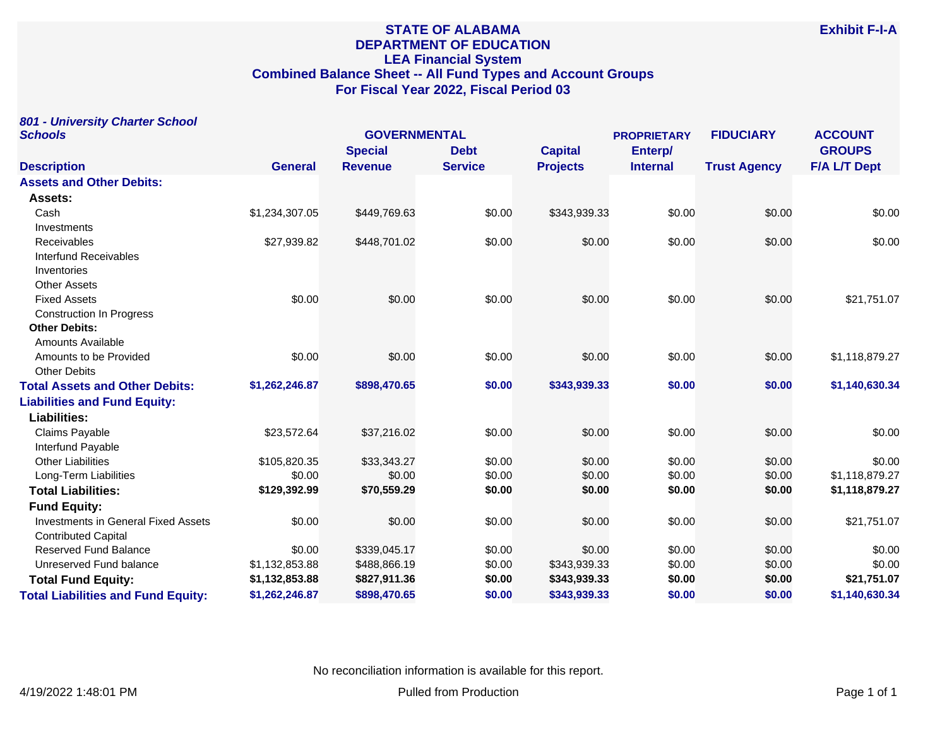# **STATE OF ALABAMA DEPARTMENT OF EDUCATION LEA Financial System Combined Balance Sheet -- All Fund Types and Account Groups For Fiscal Year 2022, Fiscal Period 03**

|         | 801 - University Charter School |  |
|---------|---------------------------------|--|
| Schools |                                 |  |

| <b>Schools</b>                            | <b>GOVERNMENTAL</b> |                |                | <b>PROPRIETARY</b> |                 | <b>FIDUCIARY</b>    | <b>ACCOUNT</b>      |
|-------------------------------------------|---------------------|----------------|----------------|--------------------|-----------------|---------------------|---------------------|
|                                           |                     | <b>Special</b> | <b>Debt</b>    | <b>Capital</b>     | Enterp/         |                     | <b>GROUPS</b>       |
| <b>Description</b>                        | <b>General</b>      | <b>Revenue</b> | <b>Service</b> | <b>Projects</b>    | <b>Internal</b> | <b>Trust Agency</b> | <b>F/A L/T Dept</b> |
| <b>Assets and Other Debits:</b>           |                     |                |                |                    |                 |                     |                     |
| Assets:                                   |                     |                |                |                    |                 |                     |                     |
| Cash                                      | \$1,234,307.05      | \$449,769.63   | \$0.00         | \$343,939.33       | \$0.00          | \$0.00              | \$0.00              |
| Investments                               |                     |                |                |                    |                 |                     |                     |
| Receivables                               | \$27,939.82         | \$448,701.02   | \$0.00         | \$0.00             | \$0.00          | \$0.00              | \$0.00              |
| Interfund Receivables                     |                     |                |                |                    |                 |                     |                     |
| Inventories                               |                     |                |                |                    |                 |                     |                     |
| <b>Other Assets</b>                       |                     |                |                |                    |                 |                     |                     |
| <b>Fixed Assets</b>                       | \$0.00              | \$0.00         | \$0.00         | \$0.00             | \$0.00          | \$0.00              | \$21,751.07         |
| <b>Construction In Progress</b>           |                     |                |                |                    |                 |                     |                     |
| <b>Other Debits:</b>                      |                     |                |                |                    |                 |                     |                     |
| Amounts Available                         |                     |                |                |                    |                 |                     |                     |
| Amounts to be Provided                    | \$0.00              | \$0.00         | \$0.00         | \$0.00             | \$0.00          | \$0.00              | \$1,118,879.27      |
| <b>Other Debits</b>                       |                     |                |                |                    |                 |                     |                     |
| <b>Total Assets and Other Debits:</b>     | \$1,262,246.87      | \$898,470.65   | \$0.00         | \$343,939.33       | \$0.00          | \$0.00              | \$1,140,630.34      |
| <b>Liabilities and Fund Equity:</b>       |                     |                |                |                    |                 |                     |                     |
| <b>Liabilities:</b>                       |                     |                |                |                    |                 |                     |                     |
| Claims Payable                            | \$23,572.64         | \$37,216.02    | \$0.00         | \$0.00             | \$0.00          | \$0.00              | \$0.00              |
| Interfund Payable                         |                     |                |                |                    |                 |                     |                     |
| <b>Other Liabilities</b>                  | \$105,820.35        | \$33,343.27    | \$0.00         | \$0.00             | \$0.00          | \$0.00              | \$0.00              |
| Long-Term Liabilities                     | \$0.00              | \$0.00         | \$0.00         | \$0.00             | \$0.00          | \$0.00              | \$1,118,879.27      |
| <b>Total Liabilities:</b>                 | \$129,392.99        | \$70,559.29    | \$0.00         | \$0.00             | \$0.00          | \$0.00              | \$1,118,879.27      |
| <b>Fund Equity:</b>                       |                     |                |                |                    |                 |                     |                     |
| Investments in General Fixed Assets       | \$0.00              | \$0.00         | \$0.00         | \$0.00             | \$0.00          | \$0.00              | \$21,751.07         |
| <b>Contributed Capital</b>                |                     |                |                |                    |                 |                     |                     |
| Reserved Fund Balance                     | \$0.00              | \$339,045.17   | \$0.00         | \$0.00             | \$0.00          | \$0.00              | \$0.00              |
| Unreserved Fund balance                   | \$1,132,853.88      | \$488,866.19   | \$0.00         | \$343,939.33       | \$0.00          | \$0.00              | \$0.00              |
| <b>Total Fund Equity:</b>                 | \$1,132,853.88      | \$827,911.36   | \$0.00         | \$343,939.33       | \$0.00          | \$0.00              | \$21,751.07         |
| <b>Total Liabilities and Fund Equity:</b> | \$1,262,246.87      | \$898,470.65   | \$0.00         | \$343,939.33       | \$0.00          | \$0.00              | \$1,140,630.34      |

No reconciliation information is available for this report.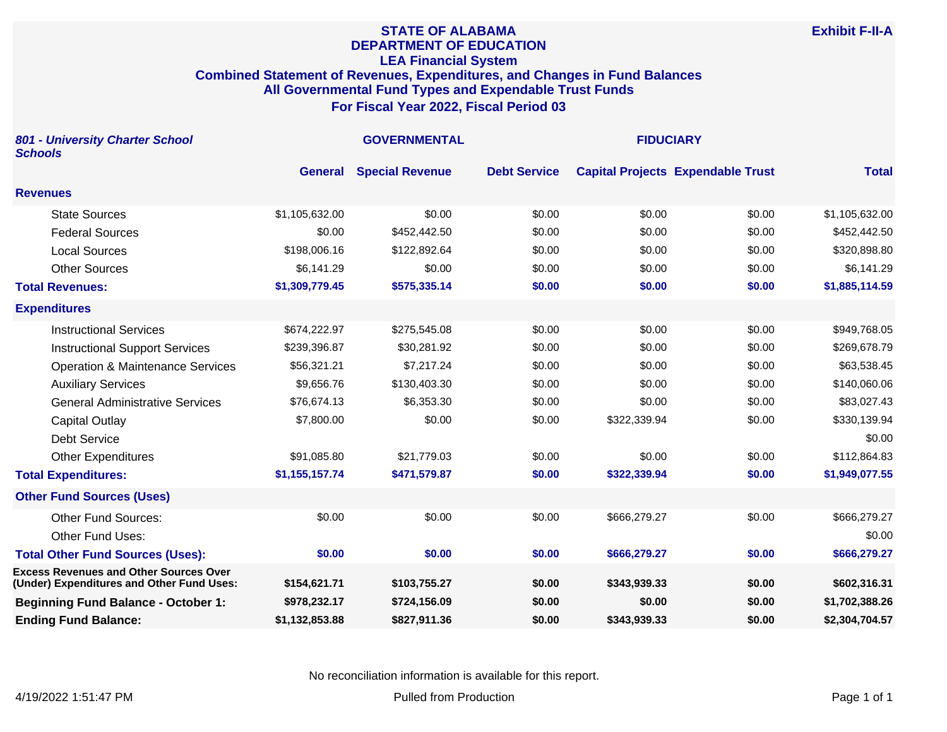#### **STATE OF ALABAMA DEPARTMENT OF EDUCATION LEA Financial System Combined Statement of Revenues, Expenditures, and Changes in Fund Balances All Governmental Fund Types and Expendable Trust Funds For Fiscal Year 2022, Fiscal Period 03**

| 801 - University Charter School<br><b>Schools</b>                                          |                | <b>GOVERNMENTAL</b>    | <b>FIDUCIARY</b>    |              |                                          |                |
|--------------------------------------------------------------------------------------------|----------------|------------------------|---------------------|--------------|------------------------------------------|----------------|
|                                                                                            | <b>General</b> | <b>Special Revenue</b> | <b>Debt Service</b> |              | <b>Capital Projects Expendable Trust</b> | <b>Total</b>   |
| <b>Revenues</b>                                                                            |                |                        |                     |              |                                          |                |
| <b>State Sources</b>                                                                       | \$1,105,632.00 | \$0.00                 | \$0.00              | \$0.00       | \$0.00                                   | \$1,105,632.00 |
| <b>Federal Sources</b>                                                                     | \$0.00         | \$452,442.50           | \$0.00              | \$0.00       | \$0.00                                   | \$452,442.50   |
| <b>Local Sources</b>                                                                       | \$198,006.16   | \$122,892.64           | \$0.00              | \$0.00       | \$0.00                                   | \$320,898.80   |
| <b>Other Sources</b>                                                                       | \$6,141.29     | \$0.00                 | \$0.00              | \$0.00       | \$0.00                                   | \$6,141.29     |
| <b>Total Revenues:</b>                                                                     | \$1,309,779.45 | \$575,335.14           | \$0.00              | \$0.00       | \$0.00                                   | \$1,885,114.59 |
| <b>Expenditures</b>                                                                        |                |                        |                     |              |                                          |                |
| <b>Instructional Services</b>                                                              | \$674,222.97   | \$275,545.08           | \$0.00              | \$0.00       | \$0.00                                   | \$949,768.05   |
| <b>Instructional Support Services</b>                                                      | \$239,396.87   | \$30,281.92            | \$0.00              | \$0.00       | \$0.00                                   | \$269,678.79   |
| <b>Operation &amp; Maintenance Services</b>                                                | \$56,321.21    | \$7,217.24             | \$0.00              | \$0.00       | \$0.00                                   | \$63,538.45    |
| <b>Auxiliary Services</b>                                                                  | \$9,656.76     | \$130,403.30           | \$0.00              | \$0.00       | \$0.00                                   | \$140,060.06   |
| <b>General Administrative Services</b>                                                     | \$76,674.13    | \$6,353.30             | \$0.00              | \$0.00       | \$0.00                                   | \$83,027.43    |
| <b>Capital Outlay</b>                                                                      | \$7,800.00     | \$0.00                 | \$0.00              | \$322,339.94 | \$0.00                                   | \$330,139.94   |
| <b>Debt Service</b>                                                                        |                |                        |                     |              |                                          | \$0.00         |
| <b>Other Expenditures</b>                                                                  | \$91,085.80    | \$21,779.03            | \$0.00              | \$0.00       | \$0.00                                   | \$112,864.83   |
| <b>Total Expenditures:</b>                                                                 | \$1,155,157.74 | \$471,579.87           | \$0.00              | \$322,339.94 | \$0.00                                   | \$1,949,077.55 |
| <b>Other Fund Sources (Uses)</b>                                                           |                |                        |                     |              |                                          |                |
| <b>Other Fund Sources:</b>                                                                 | \$0.00         | \$0.00                 | \$0.00              | \$666,279.27 | \$0.00                                   | \$666,279.27   |
| Other Fund Uses:                                                                           |                |                        |                     |              |                                          | \$0.00         |
| <b>Total Other Fund Sources (Uses):</b>                                                    | \$0.00         | \$0.00                 | \$0.00              | \$666,279.27 | \$0.00                                   | \$666,279.27   |
| <b>Excess Revenues and Other Sources Over</b><br>(Under) Expenditures and Other Fund Uses: | \$154,621.71   | \$103,755.27           | \$0.00              | \$343,939.33 | \$0.00                                   | \$602,316.31   |
| <b>Beginning Fund Balance - October 1:</b>                                                 | \$978,232.17   | \$724,156.09           | \$0.00              | \$0.00       | \$0.00                                   | \$1,702,388.26 |
| <b>Ending Fund Balance:</b>                                                                | \$1,132,853.88 | \$827,911.36           | \$0.00              | \$343,939.33 | \$0.00                                   | \$2,304,704.57 |

No reconciliation information is available for this report.

**Exhibit F-II-A**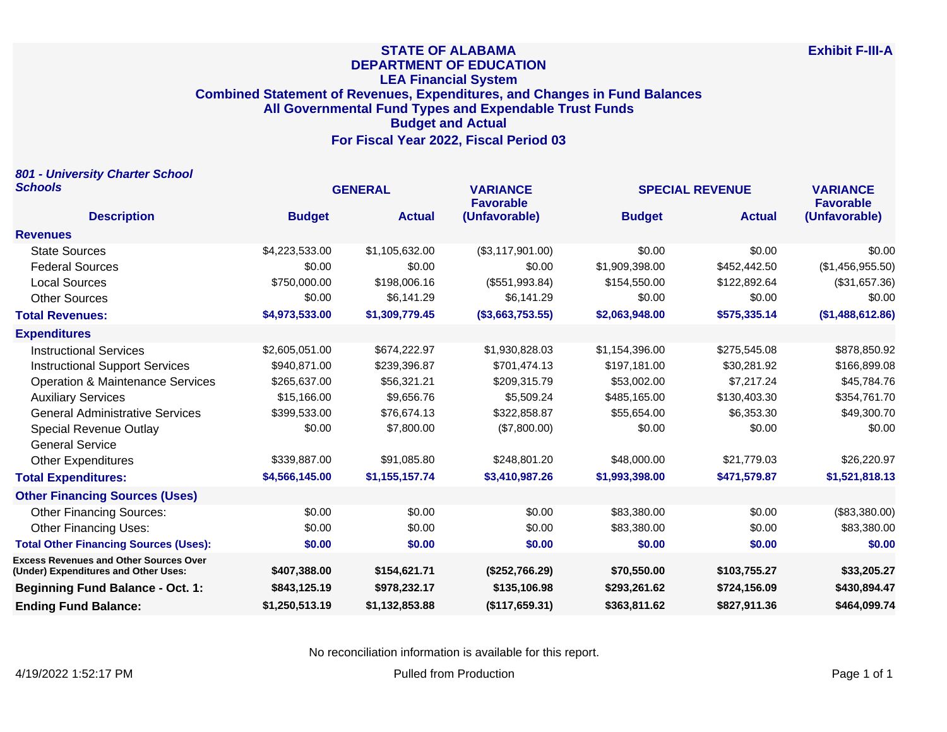## **STATE OF ALABAMA DEPARTMENT OF EDUCATION LEA Financial System Combined Statement of Revenues, Expenditures, and Changes in Fund Balances All Governmental Fund Types and Expendable Trust Funds Budget and Actual For Fiscal Year 2022, Fiscal Period 03**

| 801 - University Charter School                                                       |                |                |                                     |                        |               |                                     |
|---------------------------------------------------------------------------------------|----------------|----------------|-------------------------------------|------------------------|---------------|-------------------------------------|
| <b>Schools</b>                                                                        | <b>GENERAL</b> |                | <b>VARIANCE</b><br><b>Favorable</b> | <b>SPECIAL REVENUE</b> |               | <b>VARIANCE</b><br><b>Favorable</b> |
| <b>Description</b>                                                                    | <b>Budget</b>  | <b>Actual</b>  | (Unfavorable)                       | <b>Budget</b>          | <b>Actual</b> | (Unfavorable)                       |
| <b>Revenues</b>                                                                       |                |                |                                     |                        |               |                                     |
| <b>State Sources</b>                                                                  | \$4,223,533.00 | \$1,105,632.00 | (\$3,117,901.00)                    | \$0.00                 | \$0.00        | \$0.00                              |
| <b>Federal Sources</b>                                                                | \$0.00         | \$0.00         | \$0.00                              | \$1,909,398.00         | \$452,442.50  | (\$1,456,955.50)                    |
| <b>Local Sources</b>                                                                  | \$750,000.00   | \$198,006.16   | (\$551,993.84)                      | \$154,550.00           | \$122,892.64  | (\$31,657.36)                       |
| <b>Other Sources</b>                                                                  | \$0.00         | \$6,141.29     | \$6,141.29                          | \$0.00                 | \$0.00        | \$0.00                              |
| <b>Total Revenues:</b>                                                                | \$4,973,533.00 | \$1,309,779.45 | (\$3,663,753.55)                    | \$2,063,948.00         | \$575,335.14  | (\$1,488,612.86)                    |
| <b>Expenditures</b>                                                                   |                |                |                                     |                        |               |                                     |
| <b>Instructional Services</b>                                                         | \$2,605,051.00 | \$674,222.97   | \$1,930,828.03                      | \$1,154,396.00         | \$275,545.08  | \$878,850.92                        |
| <b>Instructional Support Services</b>                                                 | \$940,871.00   | \$239,396.87   | \$701,474.13                        | \$197,181.00           | \$30,281.92   | \$166,899.08                        |
| <b>Operation &amp; Maintenance Services</b>                                           | \$265,637.00   | \$56,321.21    | \$209,315.79                        | \$53,002.00            | \$7,217.24    | \$45,784.76                         |
| <b>Auxiliary Services</b>                                                             | \$15,166.00    | \$9,656.76     | \$5,509.24                          | \$485,165.00           | \$130,403.30  | \$354,761.70                        |
| <b>General Administrative Services</b>                                                | \$399,533.00   | \$76,674.13    | \$322,858.87                        | \$55,654.00            | \$6,353.30    | \$49,300.70                         |
| Special Revenue Outlay                                                                | \$0.00         | \$7,800.00     | (\$7,800.00)                        | \$0.00                 | \$0.00        | \$0.00                              |
| <b>General Service</b>                                                                |                |                |                                     |                        |               |                                     |
| <b>Other Expenditures</b>                                                             | \$339,887.00   | \$91,085.80    | \$248,801.20                        | \$48,000.00            | \$21,779.03   | \$26,220.97                         |
| <b>Total Expenditures:</b>                                                            | \$4,566,145.00 | \$1,155,157.74 | \$3,410,987.26                      | \$1,993,398.00         | \$471,579.87  | \$1,521,818.13                      |
| <b>Other Financing Sources (Uses)</b>                                                 |                |                |                                     |                        |               |                                     |
| <b>Other Financing Sources:</b>                                                       | \$0.00         | \$0.00         | \$0.00                              | \$83,380.00            | \$0.00        | (\$83,380.00)                       |
| Other Financing Uses:                                                                 | \$0.00         | \$0.00         | \$0.00                              | \$83,380.00            | \$0.00        | \$83,380.00                         |
| <b>Total Other Financing Sources (Uses):</b>                                          | \$0.00         | \$0.00         | \$0.00                              | \$0.00                 | \$0.00        | \$0.00                              |
| <b>Excess Revenues and Other Sources Over</b><br>(Under) Expenditures and Other Uses: | \$407,388.00   | \$154,621.71   | (\$252,766.29)                      | \$70,550.00            | \$103,755.27  | \$33,205.27                         |
| <b>Beginning Fund Balance - Oct. 1:</b>                                               | \$843,125.19   | \$978,232.17   | \$135,106.98                        | \$293,261.62           | \$724,156.09  | \$430,894.47                        |
| <b>Ending Fund Balance:</b>                                                           | \$1,250,513.19 | \$1,132,853.88 | (\$117,659.31)                      | \$363,811.62           | \$827,911.36  | \$464,099.74                        |

No reconciliation information is available for this report.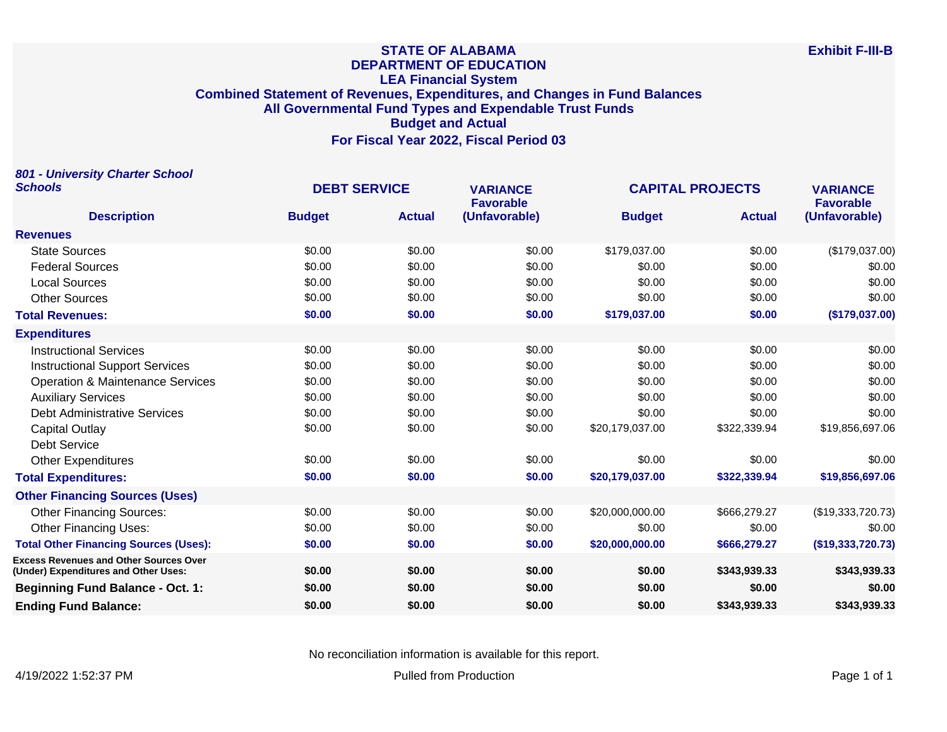#### **STATE OF ALABAMA DEPARTMENT OF EDUCATION LEA Financial System Combined Statement of Revenues, Expenditures, and Changes in Fund Balances All Governmental Fund Types and Expendable Trust Funds Budget and Actual For Fiscal Year 2022, Fiscal Period 03**

**801 - University Charter School Schools DEBT SERVICE VARIANCE CAPITAL PROJECTS VARIANCE Description Budget Actual Favorable (Unfavorable) Budget Actual Favorable (Unfavorable) Revenues** State Sources \$0.00 \$0.00 \$0.00 \$179,037.00 \$0.00 (\$179,037.00) 50.00 \$0.00 \$0.00 \$0.00 \$0.00 \$0.00 \$0.00 \$0.00 \$0.00 \$0.00 \$0.00 \$0.00 \$0.00 \$0.00 \$0.00 \$0.00 \$0.00 Local Sources \$0.00 \$0.00 \$0.00 \$0.00 \$0.00 \$0.00 Other Sources \$0.00 \$0.00 \$0.00 \$0.00 \$0.00 \$0.00 **Total Revenues: \$0.00 \$0.00 \$0.00 \$179,037.00 \$0.00 (\$179,037.00) Expenditures** Instructional Services \$0.00 \$0.00 \$0.00 \$0.00 \$0.00 \$0.00 Instructional Support Services \$0.00 \$0.00 \$0.00 \$0.00 \$0.00 \$0.00 Operation & Maintenance Services  $$0.00$  \$0.00  $$0.00$  \$0.00 \$0.00 \$0.00 \$0.00 \$0.00 \$0.00 Auxiliary Services \$0.00 \$0.00 \$0.00 \$0.00 \$0.00 \$0.00 Debt Administrative Services 60.00 \$0.00 \$0.00 \$0.00 \$0.00 \$0.00 \$0.00 \$0.00 \$0.00 \$0.00 Capital Outlay \$0.00 \$0.00 \$0.00 \$20,179,037.00 \$322,339.94 \$19,856,697.06 Debt Service Other Expenditures \$0.00 \$0.00 \$0.00 \$0.00 \$0.00 \$0.00 **Total Expenditures: \$0.00 \$0.00 \$0.00 \$20,179,037.00 \$322,339.94 \$19,856,697.06 Other Financing Sources (Uses)** Other Financing Sources:  $$0.00$   $$0.00$   $$0.00$   $$20,000,000.00$   $$666,279.27$  (\$19,333,720.73) Other Financing Uses: 60.00 \$0.00 \$0.00 \$0.00 \$0.00 \$0.00 \$0.00 \$0.00 \$0.00 \$0.00 \$0.00 **Total Other Financing Sources (Uses): \$0.00 \$0.00 \$0.00 \$20,000,000.00 \$666,279.27 (\$19,333,720.73) Excess Revenues and Other Sources Over (Under) Expenditures and Other Uses: \$0.00 \$0.00 \$0.00 \$0.00 \$343,939.33 \$343,939.33 Beginning Fund Balance - Oct. 1: \$0.00 \$0.00 \$0.00 \$0.00 \$0.00 \$0.00 Ending Fund Balance: \$0.00 \$0.00 \$0.00 \$0.00 \$343,939.33 \$343,939.33**

No reconciliation information is available for this report.

4/19/2022 1:52:37 PM Pulled from Production Page 1 of 1